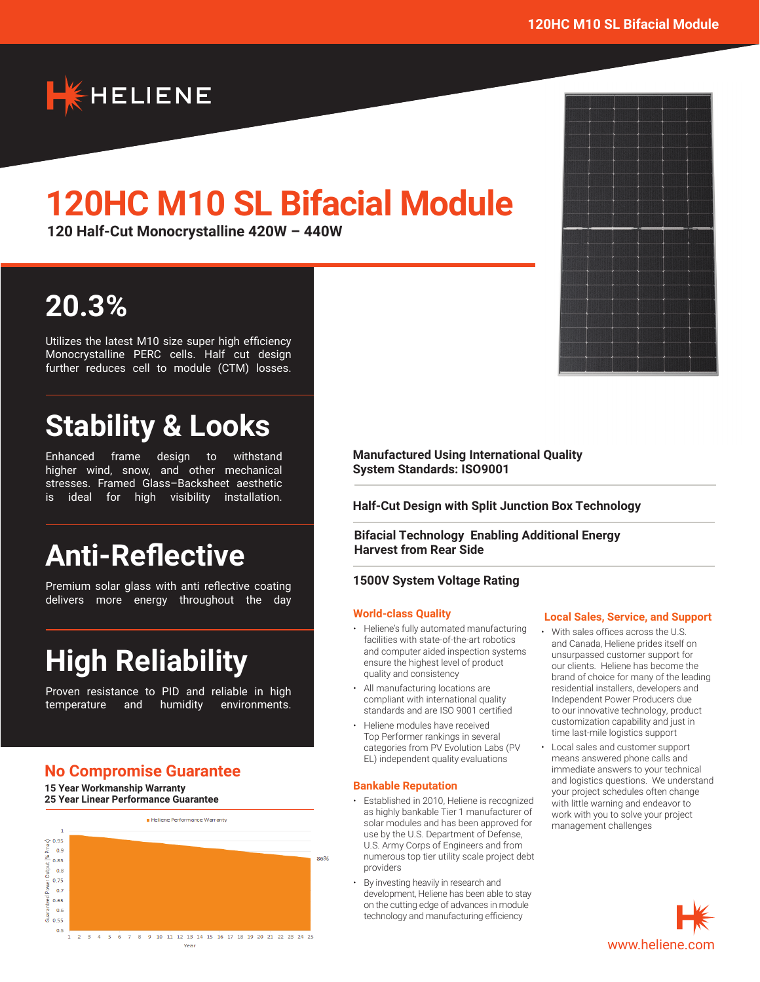

# **120HC M10 SL Bifacial Module**

**120 Half-Cut Monocrystalline 420W – 440W**

# **20.3%**

Utilizes the latest M10 size super high efficiency Monocrystalline PERC cells. Half cut design further reduces cell to module (CTM) losses.

# **Stability & Looks**

Enhanced frame design to withstand higher wind, snow, and other mechanical stresses. Framed Glass–Backsheet aesthetic is ideal for high visibility installation.

# **Anti-Reflective**

Premium solar glass with anti reflective coating delivers more energy throughout the day

# **High Reliability**

Proven resistance to PID and reliable in high temperature and humidity environments.

# **No Compromise Guarantee**

**15 Year Workmanship Warranty 25 Year Linear Performance Guarantee**



**Manufactured Using International Quality System Standards: ISO9001**

**Half-Cut Design with Split Junction Box Technology**

**Bifacial Technology Enabling Additional Energy Harvest from Rear Side** 

#### **1500V System Voltage Rating**

#### **World-class Quality**

- Heliene's fully automated manufacturing facilities with state-of-the-art robotics and computer aided inspection systems ensure the highest level of product quality and consistency
- All manufacturing locations are compliant with international quality standards and are ISO 9001 certified
- Heliene modules have received Top Performer rankings in several categories from PV Evolution Labs (PV EL) independent quality evaluations

#### **Bankable Reputation**

- Established in 2010, Heliene is recognized as highly bankable Tier 1 manufacturer of solar modules and has been approved for use by the U.S. Department of Defense, U.S. Army Corps of Engineers and from numerous top tier utility scale project debt providers
- By investing heavily in research and development, Heliene has been able to stay on the cutting edge of advances in module technology and manufacturing efficiency

#### **Local Sales, Service, and Support**

- With sales offices across the U.S. and Canada, Heliene prides itself on unsurpassed customer support for our clients. Heliene has become the brand of choice for many of the leading residential installers, developers and Independent Power Producers due to our innovative technology, product customization capability and just in time last-mile logistics support
- Local sales and customer support means answered phone calls and immediate answers to your technical and logistics questions. We understand your project schedules often change with little warning and endeavor to work with you to solve your project management challenges